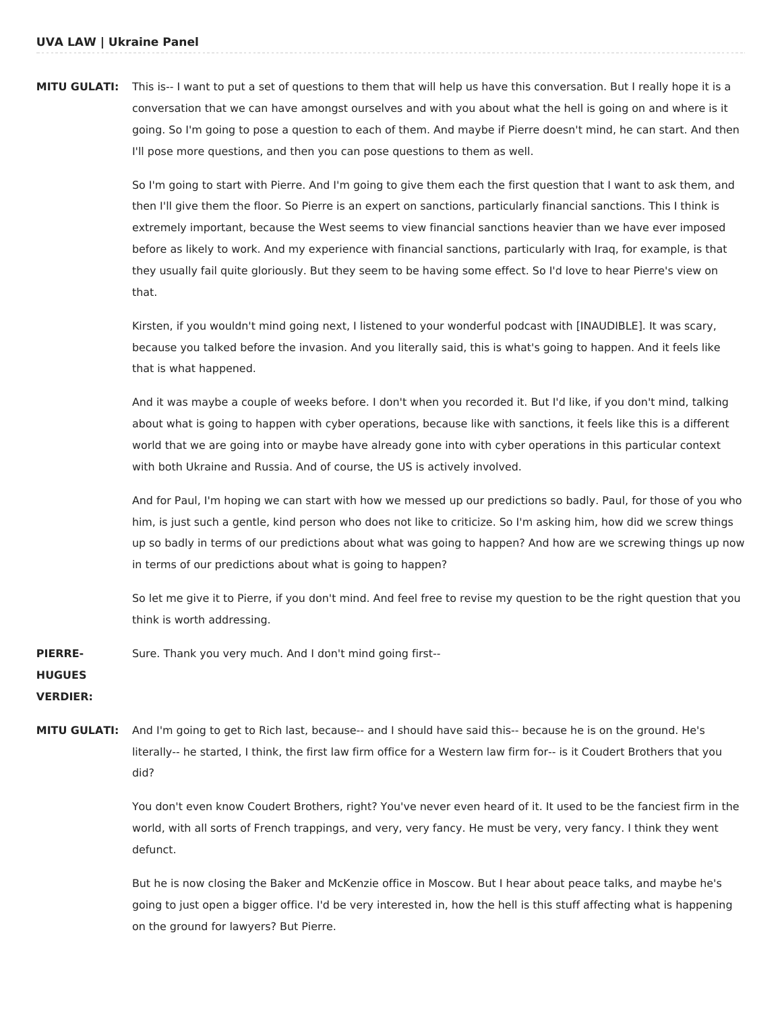**MITU GULATI:** This is-- I want to put a set of questions to them that will help us have this conversation. But I really hope it is a conversation that we can have amongst ourselves and with you about what the hell is going on and where is it going. So I'm going to pose a question to each of them. And maybe if Pierre doesn't mind, he can start. And then I'll pose more questions, and then you can pose questions to them as well.

> So I'm going to start with Pierre. And I'm going to give them each the first question that I want to ask them, and then I'll give them the floor. So Pierre is an expert on sanctions, particularly financial sanctions. This I think is extremely important, because the West seems to view financial sanctions heavier than we have ever imposed before as likely to work. And my experience with financial sanctions, particularly with Iraq, for example, is that they usually fail quite gloriously. But they seem to be having some effect. So I'd love to hear Pierre's view on that.

Kirsten, if you wouldn't mind going next, I listened to your wonderful podcast with [INAUDIBLE]. It was scary, because you talked before the invasion. And you literally said, this is what's going to happen. And it feels like that is what happened.

And it was maybe a couple of weeks before. I don't when you recorded it. But I'd like, if you don't mind, talking about what is going to happen with cyber operations, because like with sanctions, it feels like this is a different world that we are going into or maybe have already gone into with cyber operations in this particular context with both Ukraine and Russia. And of course, the US is actively involved.

And for Paul, I'm hoping we can start with how we messed up our predictions so badly. Paul, for those of you who him, is just such a gentle, kind person who does not like to criticize. So I'm asking him, how did we screw things up so badly in terms of our predictions about what was going to happen? And how are we screwing things up now in terms of our predictions about what is going to happen?

So let me give it to Pierre, if you don't mind. And feel free to revise my question to be the right question that you think is worth addressing.

**PIERRE-**Sure. Thank you very much. And I don't mind going first--

**HUGUES**

**VERDIER:**

**MITU GULATI:** And I'm going to get to Rich last, because-- and I should have said this-- because he is on the ground. He's literally-- he started, I think, the first law firm office for a Western law firm for-- is it Coudert Brothers that you did?

> You don't even know Coudert Brothers, right? You've never even heard of it. It used to be the fanciest firm in the world, with all sorts of French trappings, and very, very fancy. He must be very, very fancy. I think they went defunct.

But he is now closing the Baker and McKenzie office in Moscow. But I hear about peace talks, and maybe he's going to just open a bigger office. I'd be very interested in, how the hell is this stuff affecting what is happening on the ground for lawyers? But Pierre.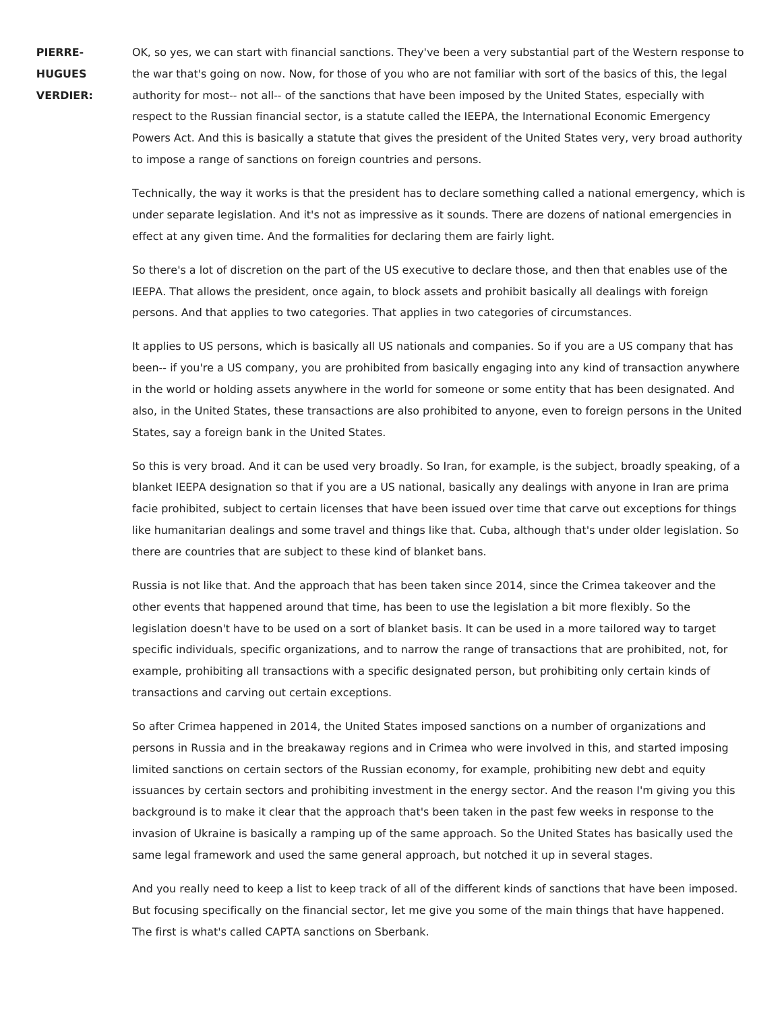**PIERRE-HUGUES**

**VERDIER:**

OK, so yes, we can start with financial sanctions. They've been a very substantial part of the Western response to the war that's going on now. Now, for those of you who are not familiar with sort of the basics of this, the legal authority for most-- not all-- of the sanctions that have been imposed by the United States, especially with respect to the Russian financial sector, is a statute called the IEEPA, the International Economic Emergency Powers Act. And this is basically a statute that gives the president of the United States very, very broad authority to impose a range of sanctions on foreign countries and persons.

Technically, the way it works is that the president has to declare something called a national emergency, which is under separate legislation. And it's not as impressive as it sounds. There are dozens of national emergencies in effect at any given time. And the formalities for declaring them are fairly light.

So there's a lot of discretion on the part of the US executive to declare those, and then that enables use of the IEEPA. That allows the president, once again, to block assets and prohibit basically all dealings with foreign persons. And that applies to two categories. That applies in two categories of circumstances.

It applies to US persons, which is basically all US nationals and companies. So if you are a US company that has been-- if you're a US company, you are prohibited from basically engaging into any kind of transaction anywhere in the world or holding assets anywhere in the world for someone or some entity that has been designated. And also, in the United States, these transactions are also prohibited to anyone, even to foreign persons in the United States, say a foreign bank in the United States.

So this is very broad. And it can be used very broadly. So Iran, for example, is the subject, broadly speaking, of a blanket IEEPA designation so that if you are a US national, basically any dealings with anyone in Iran are prima facie prohibited, subject to certain licenses that have been issued over time that carve out exceptions for things like humanitarian dealings and some travel and things like that. Cuba, although that's under older legislation. So there are countries that are subject to these kind of blanket bans.

Russia is not like that. And the approach that has been taken since 2014, since the Crimea takeover and the other events that happened around that time, has been to use the legislation a bit more flexibly. So the legislation doesn't have to be used on a sort of blanket basis. It can be used in a more tailored way to target specific individuals, specific organizations, and to narrow the range of transactions that are prohibited, not, for example, prohibiting all transactions with a specific designated person, but prohibiting only certain kinds of transactions and carving out certain exceptions.

So after Crimea happened in 2014, the United States imposed sanctions on a number of organizations and persons in Russia and in the breakaway regions and in Crimea who were involved in this, and started imposing limited sanctions on certain sectors of the Russian economy, for example, prohibiting new debt and equity issuances by certain sectors and prohibiting investment in the energy sector. And the reason I'm giving you this background is to make it clear that the approach that's been taken in the past few weeks in response to the invasion of Ukraine is basically a ramping up of the same approach. So the United States has basically used the same legal framework and used the same general approach, but notched it up in several stages.

And you really need to keep a list to keep track of all of the different kinds of sanctions that have been imposed. But focusing specifically on the financial sector, let me give you some of the main things that have happened. The first is what's called CAPTA sanctions on Sberbank.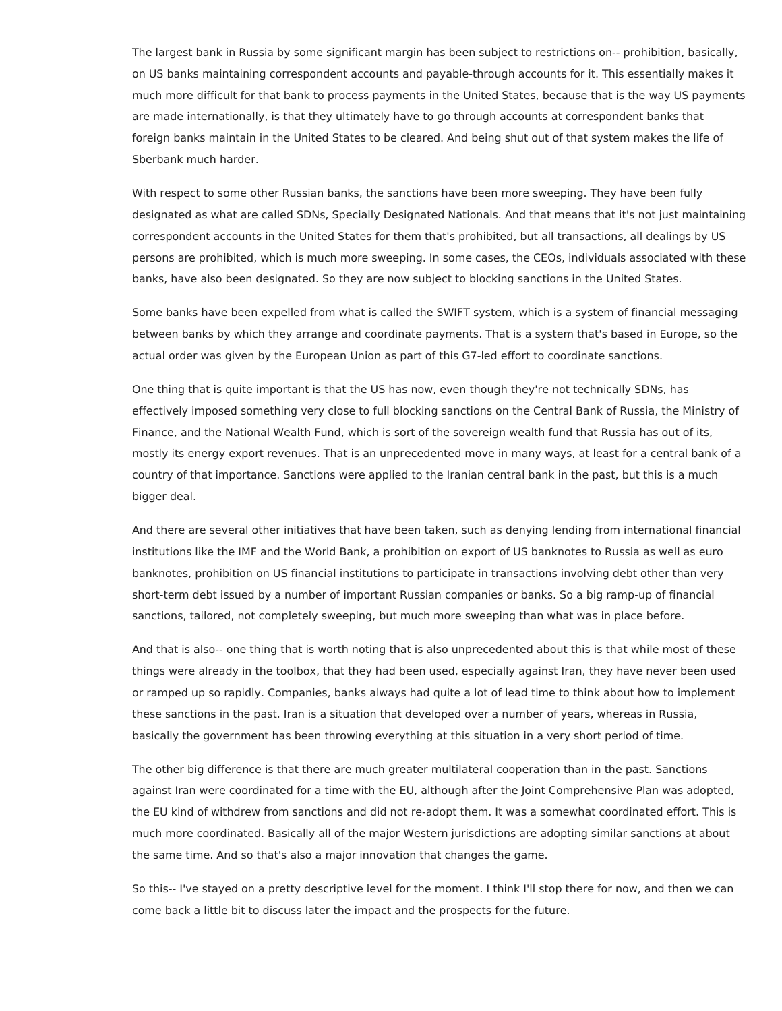The largest bank in Russia by some significant margin has been subject to restrictions on-- prohibition, basically, on US banks maintaining correspondent accounts and payable-through accounts for it. This essentially makes it much more difficult for that bank to process payments in the United States, because that is the way US payments are made internationally, is that they ultimately have to go through accounts at correspondent banks that foreign banks maintain in the United States to be cleared. And being shut out of that system makes the life of Sberbank much harder.

With respect to some other Russian banks, the sanctions have been more sweeping. They have been fully designated as what are called SDNs, Specially Designated Nationals. And that means that it's not just maintaining correspondent accounts in the United States for them that's prohibited, but all transactions, all dealings by US persons are prohibited, which is much more sweeping. In some cases, the CEOs, individuals associated with these banks, have also been designated. So they are now subject to blocking sanctions in the United States.

Some banks have been expelled from what is called the SWIFT system, which is a system of financial messaging between banks by which they arrange and coordinate payments. That is a system that's based in Europe, so the actual order was given by the European Union as part of this G7-led effort to coordinate sanctions.

One thing that is quite important is that the US has now, even though they're not technically SDNs, has effectively imposed something very close to full blocking sanctions on the Central Bank of Russia, the Ministry of Finance, and the National Wealth Fund, which is sort of the sovereign wealth fund that Russia has out of its, mostly its energy export revenues. That is an unprecedented move in many ways, at least for a central bank of a country of that importance. Sanctions were applied to the Iranian central bank in the past, but this is a much bigger deal.

And there are several other initiatives that have been taken, such as denying lending from international financial institutions like the IMF and the World Bank, a prohibition on export of US banknotes to Russia as well as euro banknotes, prohibition on US financial institutions to participate in transactions involving debt other than very short-term debt issued by a number of important Russian companies or banks. So a big ramp-up of financial sanctions, tailored, not completely sweeping, but much more sweeping than what was in place before.

And that is also-- one thing that is worth noting that is also unprecedented about this is that while most of these things were already in the toolbox, that they had been used, especially against Iran, they have never been used or ramped up so rapidly. Companies, banks always had quite a lot of lead time to think about how to implement these sanctions in the past. Iran is a situation that developed over a number of years, whereas in Russia, basically the government has been throwing everything at this situation in a very short period of time.

The other big difference is that there are much greater multilateral cooperation than in the past. Sanctions against Iran were coordinated for a time with the EU, although after the Joint Comprehensive Plan was adopted, the EU kind of withdrew from sanctions and did not re-adopt them. It was a somewhat coordinated effort. This is much more coordinated. Basically all of the major Western jurisdictions are adopting similar sanctions at about the same time. And so that's also a major innovation that changes the game.

So this-- I've stayed on a pretty descriptive level for the moment. I think I'll stop there for now, and then we can come back a little bit to discuss later the impact and the prospects for the future.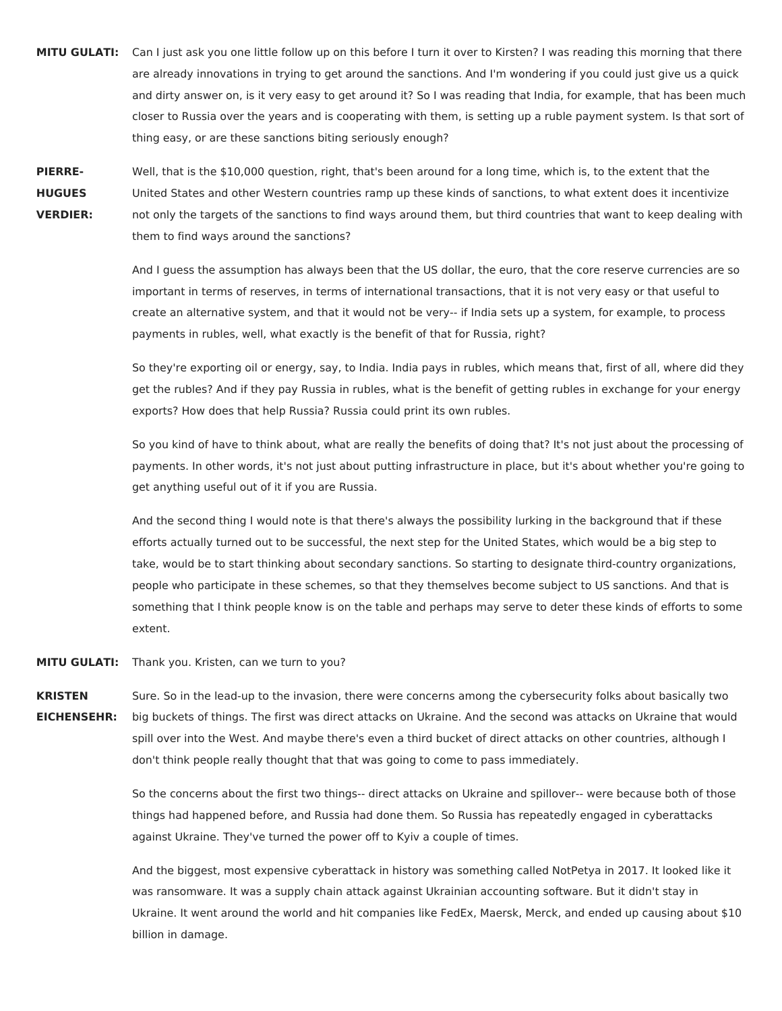**MITU GULATI:** Can I just ask you one little follow up on this before I turn it over to Kirsten? I was reading this morning that there are already innovations in trying to get around the sanctions. And I'm wondering if you could just give us a quick and dirty answer on, is it very easy to get around it? So I was reading that India, for example, that has been much closer to Russia over the years and is cooperating with them, is setting up a ruble payment system. Is that sort of thing easy, or are these sanctions biting seriously enough?

**PIERRE-HUGUES VERDIER:** Well, that is the \$10,000 question, right, that's been around for a long time, which is, to the extent that the United States and other Western countries ramp up these kinds of sanctions, to what extent does it incentivize not only the targets of the sanctions to find ways around them, but third countries that want to keep dealing with them to find ways around the sanctions?

> And I guess the assumption has always been that the US dollar, the euro, that the core reserve currencies are so important in terms of reserves, in terms of international transactions, that it is not very easy or that useful to create an alternative system, and that it would not be very-- if India sets up a system, for example, to process payments in rubles, well, what exactly is the benefit of that for Russia, right?

> So they're exporting oil or energy, say, to India. India pays in rubles, which means that, first of all, where did they get the rubles? And if they pay Russia in rubles, what is the benefit of getting rubles in exchange for your energy exports? How does that help Russia? Russia could print its own rubles.

> So you kind of have to think about, what are really the benefits of doing that? It's not just about the processing of payments. In other words, it's not just about putting infrastructure in place, but it's about whether you're going to get anything useful out of it if you are Russia.

> And the second thing I would note is that there's always the possibility lurking in the background that if these efforts actually turned out to be successful, the next step for the United States, which would be a big step to take, would be to start thinking about secondary sanctions. So starting to designate third-country organizations, people who participate in these schemes, so that they themselves become subject to US sanctions. And that is something that I think people know is on the table and perhaps may serve to deter these kinds of efforts to some extent.

**MITU GULATI:** Thank you. Kristen, can we turn to you?

**KRISTEN EICHENSEHR:** Sure. So in the lead-up to the invasion, there were concerns among the cybersecurity folks about basically two big buckets of things. The first was direct attacks on Ukraine. And the second was attacks on Ukraine that would spill over into the West. And maybe there's even a third bucket of direct attacks on other countries, although I don't think people really thought that that was going to come to pass immediately.

> So the concerns about the first two things-- direct attacks on Ukraine and spillover-- were because both of those things had happened before, and Russia had done them. So Russia has repeatedly engaged in cyberattacks against Ukraine. They've turned the power off to Kyiv a couple of times.

And the biggest, most expensive cyberattack in history was something called NotPetya in 2017. It looked like it was ransomware. It was a supply chain attack against Ukrainian accounting software. But it didn't stay in Ukraine. It went around the world and hit companies like FedEx, Maersk, Merck, and ended up causing about \$10 billion in damage.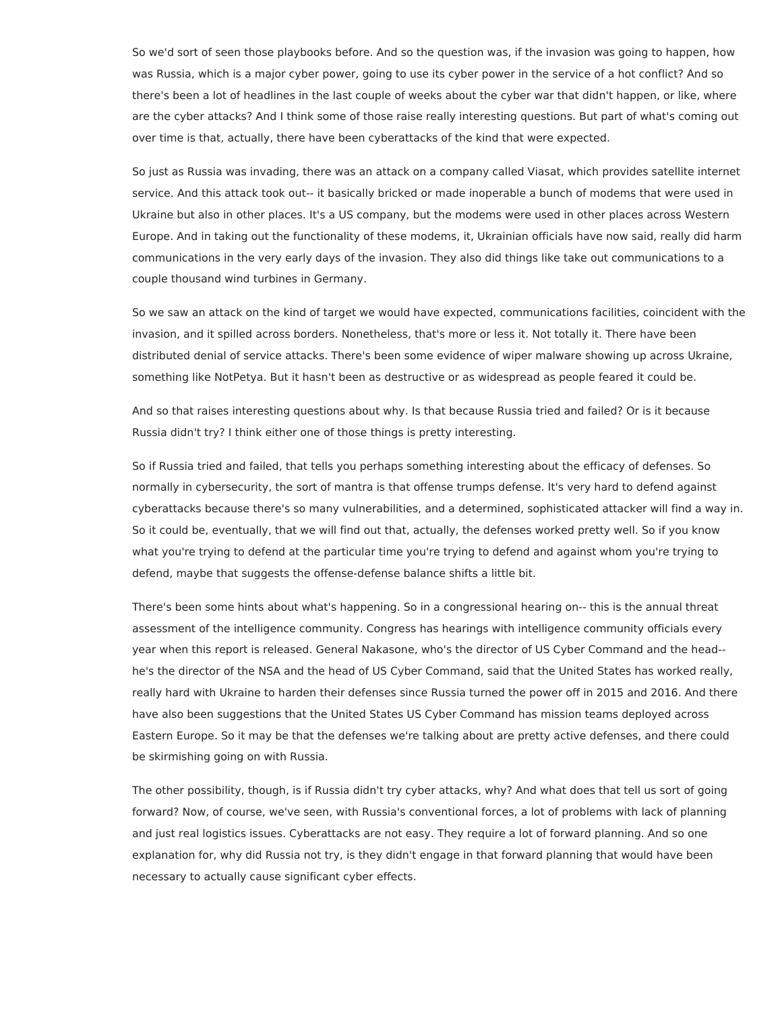So we'd sort of seen those playbooks before. And so the question was, if the invasion was going to happen, how was Russia, which is a major cyber power, going to use its cyber power in the service of a hot conflict? And so there's been a lot of headlines in the last couple of weeks about the cyber war that didn't happen, or like, where are the cyber attacks? And I think some of those raise really interesting questions. But part of what's coming out over time is that, actually, there have been cyberattacks of the kind that were expected.

So just as Russia was invading, there was an attack on a company called Viasat, which provides satellite internet service. And this attack took out-- it basically bricked or made inoperable a bunch of modems that were used in Ukraine but also in other places. It's a US company, but the modems were used in other places across Western Europe. And in taking out the functionality of these modems, it, Ukrainian officials have now said, really did harm communications in the very early days of the invasion. They also did things like take out communications to a couple thousand wind turbines in Germany.

So we saw an attack on the kind of target we would have expected, communications facilities, coincident with the invasion, and it spilled across borders. Nonetheless, that's more or less it. Not totally it. There have been distributed denial of service attacks. There's been some evidence of wiper malware showing up across Ukraine, something like NotPetya. But it hasn't been as destructive or as widespread as people feared it could be.

And so that raises interesting questions about why. Is that because Russia tried and failed? Or is it because Russia didn't try? I think either one of those things is pretty interesting.

So if Russia tried and failed, that tells you perhaps something interesting about the efficacy of defenses. So normally in cybersecurity, the sort of mantra is that offense trumps defense. It's very hard to defend against cyberattacks because there's so many vulnerabilities, and a determined, sophisticated attacker will find a way in. So it could be, eventually, that we will find out that, actually, the defenses worked pretty well. So if you know what you're trying to defend at the particular time you're trying to defend and against whom you're trying to defend, maybe that suggests the offense-defense balance shifts a little bit.

There's been some hints about what's happening. So in a congressional hearing on-- this is the annual threat assessment of the intelligence community. Congress has hearings with intelligence community officials every year when this report is released. General Nakasone, who's the director of US Cyber Command and the head- he's the director of the NSA and the head of US Cyber Command, said that the United States has worked really, really hard with Ukraine to harden their defenses since Russia turned the power off in 2015 and 2016. And there have also been suggestions that the United States US Cyber Command has mission teams deployed across Eastern Europe. So it may be that the defenses we're talking about are pretty active defenses, and there could be skirmishing going on with Russia.

The other possibility, though, is if Russia didn't try cyber attacks, why? And what does that tell us sort of going forward? Now, of course, we've seen, with Russia's conventional forces, a lot of problems with lack of planning and just real logistics issues. Cyberattacks are not easy. They require a lot of forward planning. And so one explanation for, why did Russia not try, is they didn't engage in that forward planning that would have been necessary to actually cause significant cyber effects.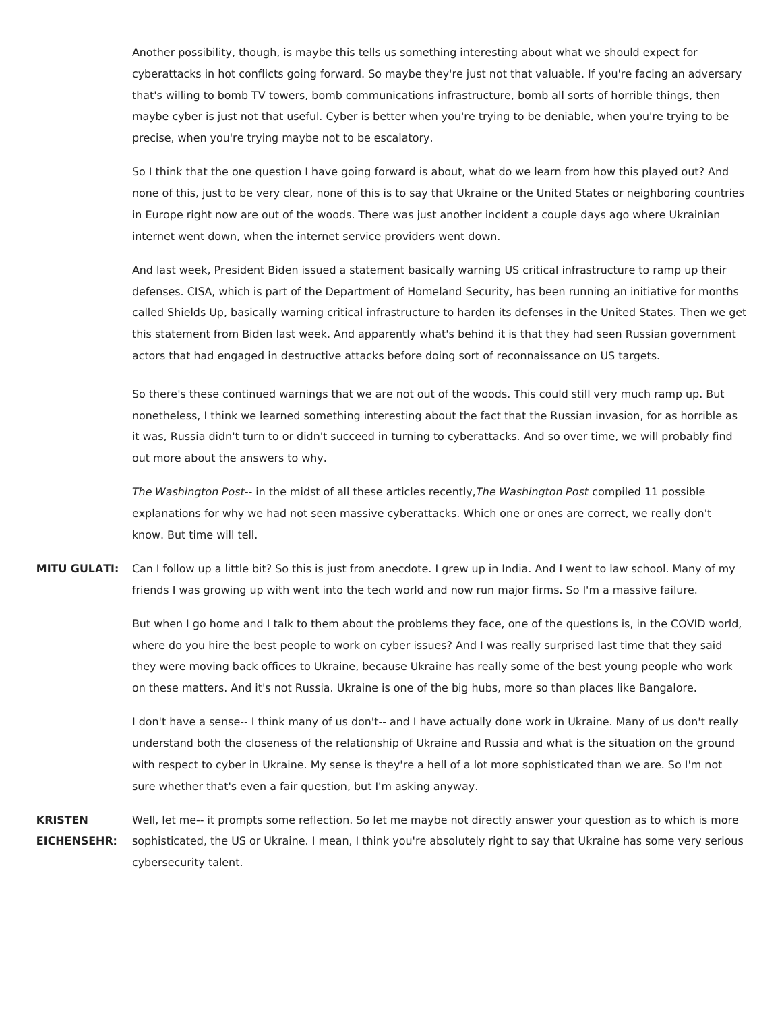Another possibility, though, is maybe this tells us something interesting about what we should expect for cyberattacks in hot conflicts going forward. So maybe they're just not that valuable. If you're facing an adversary that's willing to bomb TV towers, bomb communications infrastructure, bomb all sorts of horrible things, then maybe cyber is just not that useful. Cyber is better when you're trying to be deniable, when you're trying to be precise, when you're trying maybe not to be escalatory.

So I think that the one question I have going forward is about, what do we learn from how this played out? And none of this, just to be very clear, none of this is to say that Ukraine or the United States or neighboring countries in Europe right now are out of the woods. There was just another incident a couple days ago where Ukrainian internet went down, when the internet service providers went down.

And last week, President Biden issued a statement basically warning US critical infrastructure to ramp up their defenses. CISA, which is part of the Department of Homeland Security, has been running an initiative for months called Shields Up, basically warning critical infrastructure to harden its defenses in the United States. Then we get this statement from Biden last week. And apparently what's behind it is that they had seen Russian government actors that had engaged in destructive attacks before doing sort of reconnaissance on US targets.

So there's these continued warnings that we are not out of the woods. This could still very much ramp up. But nonetheless, I think we learned something interesting about the fact that the Russian invasion, for as horrible as it was, Russia didn't turn to or didn't succeed in turning to cyberattacks. And so over time, we will probably find out more about the answers to why.

The Washington Post-- in the midst of all these articles recently, The Washington Post compiled 11 possible explanations for why we had not seen massive cyberattacks. Which one or ones are correct, we really don't know. But time will tell.

**MITU GULATI:** Can I follow up a little bit? So this is just from anecdote. I grew up in India. And I went to law school. Many of my friends I was growing up with went into the tech world and now run major firms. So I'm a massive failure.

> But when I go home and I talk to them about the problems they face, one of the questions is, in the COVID world, where do you hire the best people to work on cyber issues? And I was really surprised last time that they said they were moving back offices to Ukraine, because Ukraine has really some of the best young people who work on these matters. And it's not Russia. Ukraine is one of the big hubs, more so than places like Bangalore.

> I don't have a sense-- I think many of us don't-- and I have actually done work in Ukraine. Many of us don't really understand both the closeness of the relationship of Ukraine and Russia and what is the situation on the ground with respect to cyber in Ukraine. My sense is they're a hell of a lot more sophisticated than we are. So I'm not sure whether that's even a fair question, but I'm asking anyway.

**KRISTEN EICHENSEHR:** Well, let me-- it prompts some reflection. So let me maybe not directly answer your question as to which is more sophisticated, the US or Ukraine. I mean, I think you're absolutely right to say that Ukraine has some very serious cybersecurity talent.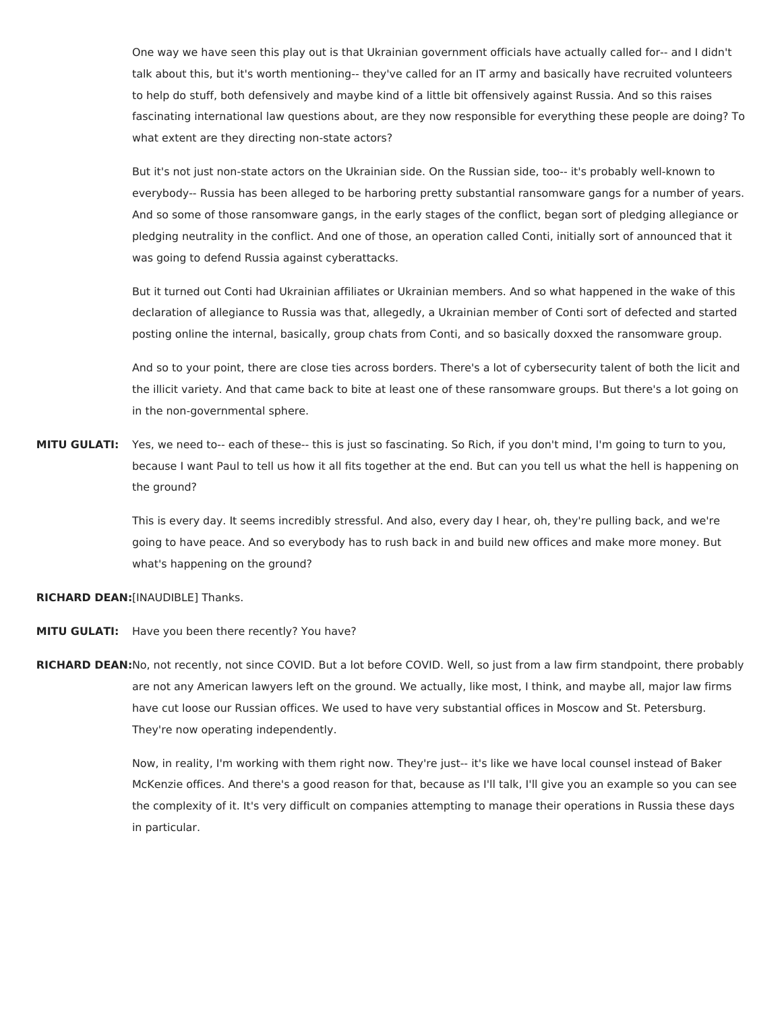One way we have seen this play out is that Ukrainian government officials have actually called for-- and I didn't talk about this, but it's worth mentioning-- they've called for an IT army and basically have recruited volunteers to help do stuff, both defensively and maybe kind of a little bit offensively against Russia. And so this raises fascinating international law questions about, are they now responsible for everything these people are doing? To what extent are they directing non-state actors?

But it's not just non-state actors on the Ukrainian side. On the Russian side, too-- it's probably well-known to everybody-- Russia has been alleged to be harboring pretty substantial ransomware gangs for a number of years. And so some of those ransomware gangs, in the early stages of the conflict, began sort of pledging allegiance or pledging neutrality in the conflict. And one of those, an operation called Conti, initially sort of announced that it was going to defend Russia against cyberattacks.

But it turned out Conti had Ukrainian affiliates or Ukrainian members. And so what happened in the wake of this declaration of allegiance to Russia was that, allegedly, a Ukrainian member of Conti sort of defected and started posting online the internal, basically, group chats from Conti, and so basically doxxed the ransomware group.

And so to your point, there are close ties across borders. There's a lot of cybersecurity talent of both the licit and the illicit variety. And that came back to bite at least one of these ransomware groups. But there's a lot going on in the non-governmental sphere.

**MITU GULATI:** Yes, we need to-- each of these-- this is just so fascinating. So Rich, if you don't mind, I'm going to turn to you, because I want Paul to tell us how it all fits together at the end. But can you tell us what the hell is happening on the ground?

> This is every day. It seems incredibly stressful. And also, every day I hear, oh, they're pulling back, and we're going to have peace. And so everybody has to rush back in and build new offices and make more money. But what's happening on the ground?

**RICHARD DEAN:**[INAUDIBLE] Thanks.

- **MITU GULATI:** Have you been there recently? You have?
- **RICHARD DEAN:**No, not recently, not since COVID. But a lot before COVID. Well, so just from a law firm standpoint, there probably are not any American lawyers left on the ground. We actually, like most, I think, and maybe all, major law firms have cut loose our Russian offices. We used to have very substantial offices in Moscow and St. Petersburg. They're now operating independently.

Now, in reality, I'm working with them right now. They're just-- it's like we have local counsel instead of Baker McKenzie offices. And there's a good reason for that, because as I'll talk, I'll give you an example so you can see the complexity of it. It's very difficult on companies attempting to manage their operations in Russia these days in particular.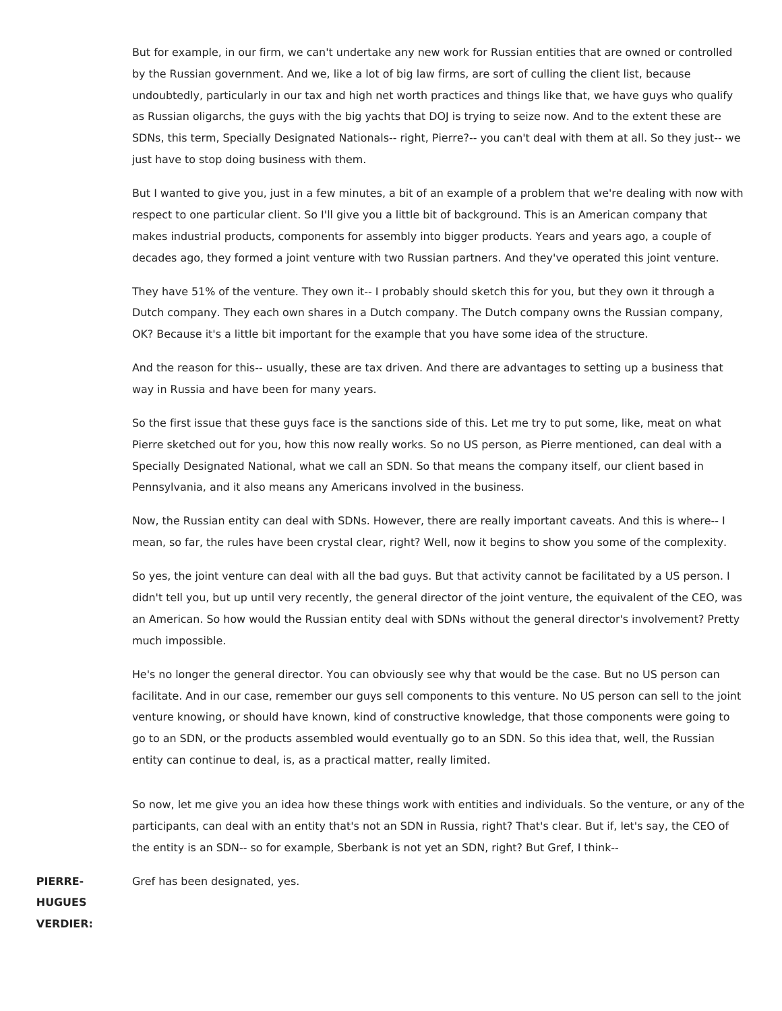But for example, in our firm, we can't undertake any new work for Russian entities that are owned or controlled by the Russian government. And we, like a lot of big law firms, are sort of culling the client list, because undoubtedly, particularly in our tax and high net worth practices and things like that, we have guys who qualify as Russian oligarchs, the guys with the big yachts that DOJ is trying to seize now. And to the extent these are SDNs, this term, Specially Designated Nationals-- right, Pierre?-- you can't deal with them at all. So they just-- we just have to stop doing business with them.

But I wanted to give you, just in a few minutes, a bit of an example of a problem that we're dealing with now with respect to one particular client. So I'll give you a little bit of background. This is an American company that makes industrial products, components for assembly into bigger products. Years and years ago, a couple of decades ago, they formed a joint venture with two Russian partners. And they've operated this joint venture.

They have 51% of the venture. They own it-- I probably should sketch this for you, but they own it through a Dutch company. They each own shares in a Dutch company. The Dutch company owns the Russian company, OK? Because it's a little bit important for the example that you have some idea of the structure.

And the reason for this-- usually, these are tax driven. And there are advantages to setting up a business that way in Russia and have been for many years.

So the first issue that these guys face is the sanctions side of this. Let me try to put some, like, meat on what Pierre sketched out for you, how this now really works. So no US person, as Pierre mentioned, can deal with a Specially Designated National, what we call an SDN. So that means the company itself, our client based in Pennsylvania, and it also means any Americans involved in the business.

Now, the Russian entity can deal with SDNs. However, there are really important caveats. And this is where-- I mean, so far, the rules have been crystal clear, right? Well, now it begins to show you some of the complexity.

So yes, the joint venture can deal with all the bad guys. But that activity cannot be facilitated by a US person. I didn't tell you, but up until very recently, the general director of the joint venture, the equivalent of the CEO, was an American. So how would the Russian entity deal with SDNs without the general director's involvement? Pretty much impossible.

He's no longer the general director. You can obviously see why that would be the case. But no US person can facilitate. And in our case, remember our guys sell components to this venture. No US person can sell to the joint venture knowing, or should have known, kind of constructive knowledge, that those components were going to go to an SDN, or the products assembled would eventually go to an SDN. So this idea that, well, the Russian entity can continue to deal, is, as a practical matter, really limited.

So now, let me give you an idea how these things work with entities and individuals. So the venture, or any of the participants, can deal with an entity that's not an SDN in Russia, right? That's clear. But if, let's say, the CEO of the entity is an SDN-- so for example, Sberbank is not yet an SDN, right? But Gref, I think--

**PIERRE-HUGUES VERDIER:** Gref has been designated, yes.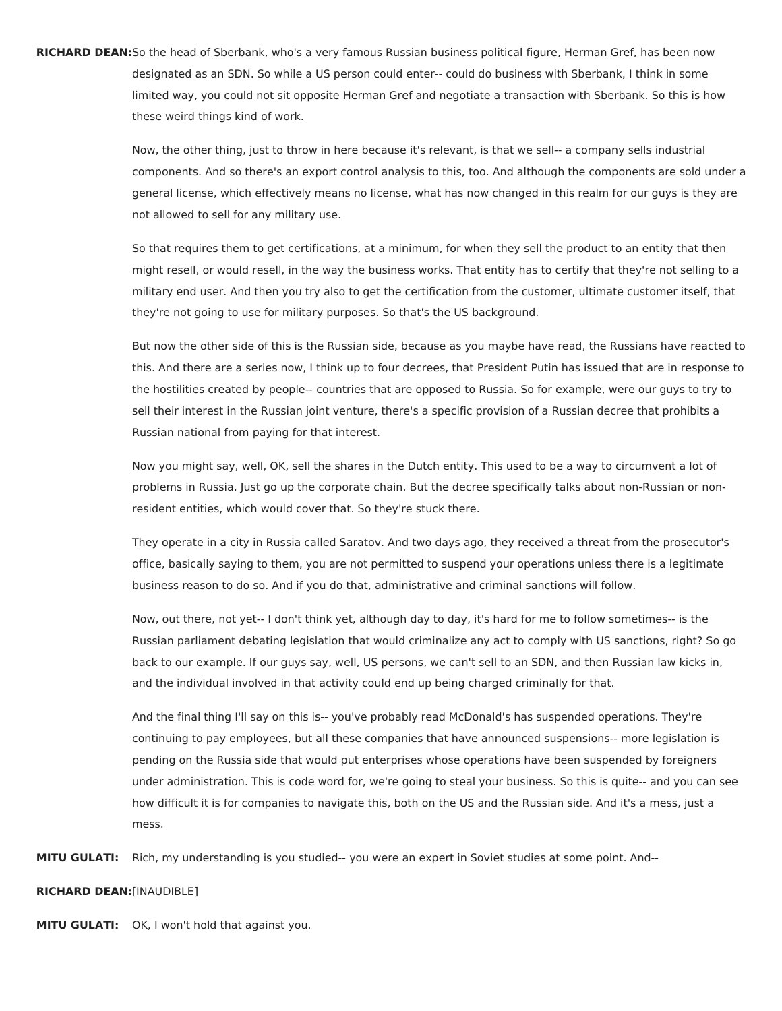**RICHARD DEAN:**So the head of Sberbank, who's a very famous Russian business political figure, Herman Gref, has been now designated as an SDN. So while a US person could enter-- could do business with Sberbank, I think in some limited way, you could not sit opposite Herman Gref and negotiate a transaction with Sberbank. So this is how these weird things kind of work.

> Now, the other thing, just to throw in here because it's relevant, is that we sell-- a company sells industrial components. And so there's an export control analysis to this, too. And although the components are sold under a general license, which effectively means no license, what has now changed in this realm for our guys is they are not allowed to sell for any military use.

So that requires them to get certifications, at a minimum, for when they sell the product to an entity that then might resell, or would resell, in the way the business works. That entity has to certify that they're not selling to a military end user. And then you try also to get the certification from the customer, ultimate customer itself, that they're not going to use for military purposes. So that's the US background.

But now the other side of this is the Russian side, because as you maybe have read, the Russians have reacted to this. And there are a series now, I think up to four decrees, that President Putin has issued that are in response to the hostilities created by people-- countries that are opposed to Russia. So for example, were our guys to try to sell their interest in the Russian joint venture, there's a specific provision of a Russian decree that prohibits a Russian national from paying for that interest.

Now you might say, well, OK, sell the shares in the Dutch entity. This used to be a way to circumvent a lot of problems in Russia. Just go up the corporate chain. But the decree specifically talks about non-Russian or nonresident entities, which would cover that. So they're stuck there.

They operate in a city in Russia called Saratov. And two days ago, they received a threat from the prosecutor's office, basically saying to them, you are not permitted to suspend your operations unless there is a legitimate business reason to do so. And if you do that, administrative and criminal sanctions will follow.

Now, out there, not yet-- I don't think yet, although day to day, it's hard for me to follow sometimes-- is the Russian parliament debating legislation that would criminalize any act to comply with US sanctions, right? So go back to our example. If our guys say, well, US persons, we can't sell to an SDN, and then Russian law kicks in, and the individual involved in that activity could end up being charged criminally for that.

And the final thing I'll say on this is-- you've probably read McDonald's has suspended operations. They're continuing to pay employees, but all these companies that have announced suspensions-- more legislation is pending on the Russia side that would put enterprises whose operations have been suspended by foreigners under administration. This is code word for, we're going to steal your business. So this is quite-- and you can see how difficult it is for companies to navigate this, both on the US and the Russian side. And it's a mess, just a mess.

**MITU GULATI:** Rich, my understanding is you studied-- you were an expert in Soviet studies at some point. And--

## **RICHARD DEAN:**[INAUDIBLE]

**MITU GULATI:** OK, I won't hold that against you.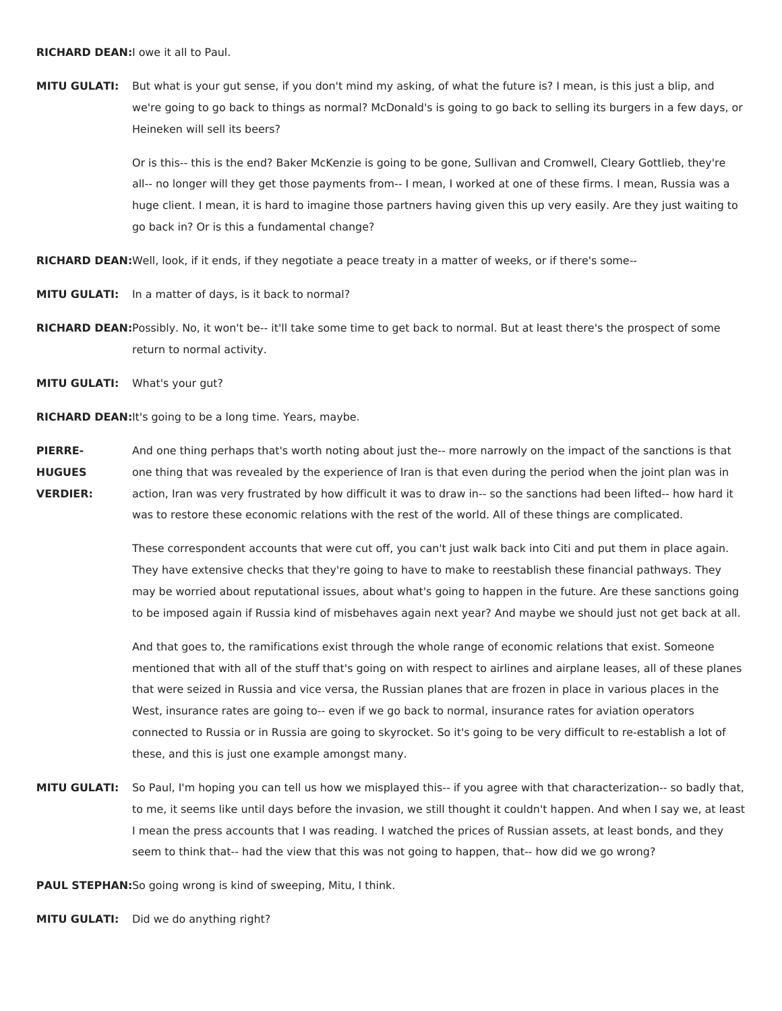**MITU GULATI:** But what is your gut sense, if you don't mind my asking, of what the future is? I mean, is this just a blip, and we're going to go back to things as normal? McDonald's is going to go back to selling its burgers in a few days, or Heineken will sell its beers?

> Or is this-- this is the end? Baker McKenzie is going to be gone, Sullivan and Cromwell, Cleary Gottlieb, they're all-- no longer will they get those payments from-- I mean, I worked at one of these firms. I mean, Russia was a huge client. I mean, it is hard to imagine those partners having given this up very easily. Are they just waiting to go back in? Or is this a fundamental change?

**RICHARD DEAN:**Well, look, if it ends, if they negotiate a peace treaty in a matter of weeks, or if there's some--

**MITU GULATI:** In a matter of days, is it back to normal?

**RICHARD DEAN:**Possibly. No, it won't be-- it'll take some time to get back to normal. But at least there's the prospect of some return to normal activity.

**MITU GULATI:** What's your gut?

**RICHARD DEAN:**It's going to be a long time. Years, maybe.

**PIERRE-HUGUES VERDIER:** And one thing perhaps that's worth noting about just the-- more narrowly on the impact of the sanctions is that one thing that was revealed by the experience of Iran is that even during the period when the joint plan was in action, Iran was very frustrated by how difficult it was to draw in-- so the sanctions had been lifted-- how hard it was to restore these economic relations with the rest of the world. All of these things are complicated.

> These correspondent accounts that were cut off, you can't just walk back into Citi and put them in place again. They have extensive checks that they're going to have to make to reestablish these financial pathways. They may be worried about reputational issues, about what's going to happen in the future. Are these sanctions going to be imposed again if Russia kind of misbehaves again next year? And maybe we should just not get back at all.

> And that goes to, the ramifications exist through the whole range of economic relations that exist. Someone mentioned that with all of the stuff that's going on with respect to airlines and airplane leases, all of these planes that were seized in Russia and vice versa, the Russian planes that are frozen in place in various places in the West, insurance rates are going to-- even if we go back to normal, insurance rates for aviation operators connected to Russia or in Russia are going to skyrocket. So it's going to be very difficult to re-establish a lot of these, and this is just one example amongst many.

**MITU GULATI:** So Paul, I'm hoping you can tell us how we misplayed this-- if you agree with that characterization-- so badly that, to me, it seems like until days before the invasion, we still thought it couldn't happen. And when I say we, at least I mean the press accounts that I was reading. I watched the prices of Russian assets, at least bonds, and they seem to think that-- had the view that this was not going to happen, that-- how did we go wrong?

**PAUL STEPHAN:**So going wrong is kind of sweeping, Mitu, I think.

**MITU GULATI:** Did we do anything right?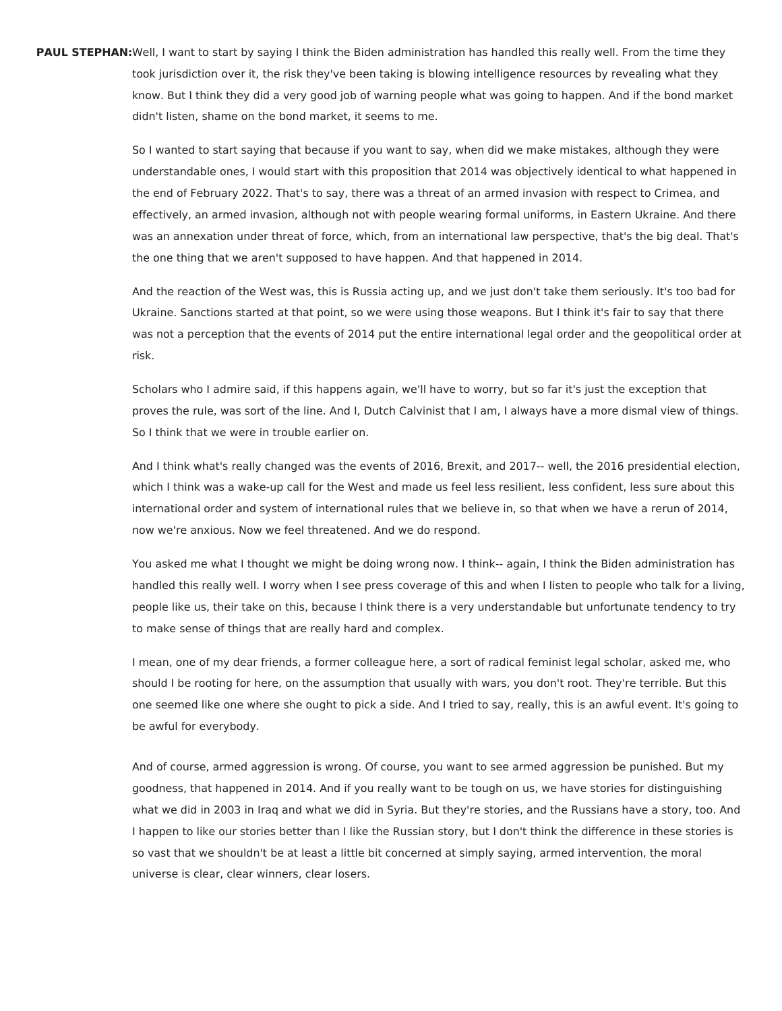**PAUL STEPHAN:**Well, I want to start by saying I think the Biden administration has handled this really well. From the time they took jurisdiction over it, the risk they've been taking is blowing intelligence resources by revealing what they know. But I think they did a very good job of warning people what was going to happen. And if the bond market didn't listen, shame on the bond market, it seems to me.

> So I wanted to start saying that because if you want to say, when did we make mistakes, although they were understandable ones, I would start with this proposition that 2014 was objectively identical to what happened in the end of February 2022. That's to say, there was a threat of an armed invasion with respect to Crimea, and effectively, an armed invasion, although not with people wearing formal uniforms, in Eastern Ukraine. And there was an annexation under threat of force, which, from an international law perspective, that's the big deal. That's the one thing that we aren't supposed to have happen. And that happened in 2014.

> And the reaction of the West was, this is Russia acting up, and we just don't take them seriously. It's too bad for Ukraine. Sanctions started at that point, so we were using those weapons. But I think it's fair to say that there was not a perception that the events of 2014 put the entire international legal order and the geopolitical order at risk.

> Scholars who I admire said, if this happens again, we'll have to worry, but so far it's just the exception that proves the rule, was sort of the line. And I, Dutch Calvinist that I am, I always have a more dismal view of things. So I think that we were in trouble earlier on.

> And I think what's really changed was the events of 2016, Brexit, and 2017-- well, the 2016 presidential election, which I think was a wake-up call for the West and made us feel less resilient, less confident, less sure about this international order and system of international rules that we believe in, so that when we have a rerun of 2014, now we're anxious. Now we feel threatened. And we do respond.

> You asked me what I thought we might be doing wrong now. I think-- again, I think the Biden administration has handled this really well. I worry when I see press coverage of this and when I listen to people who talk for a living, people like us, their take on this, because I think there is a very understandable but unfortunate tendency to try to make sense of things that are really hard and complex.

> I mean, one of my dear friends, a former colleague here, a sort of radical feminist legal scholar, asked me, who should I be rooting for here, on the assumption that usually with wars, you don't root. They're terrible. But this one seemed like one where she ought to pick a side. And I tried to say, really, this is an awful event. It's going to be awful for everybody.

> And of course, armed aggression is wrong. Of course, you want to see armed aggression be punished. But my goodness, that happened in 2014. And if you really want to be tough on us, we have stories for distinguishing what we did in 2003 in Iraq and what we did in Syria. But they're stories, and the Russians have a story, too. And I happen to like our stories better than I like the Russian story, but I don't think the difference in these stories is so vast that we shouldn't be at least a little bit concerned at simply saying, armed intervention, the moral universe is clear, clear winners, clear losers.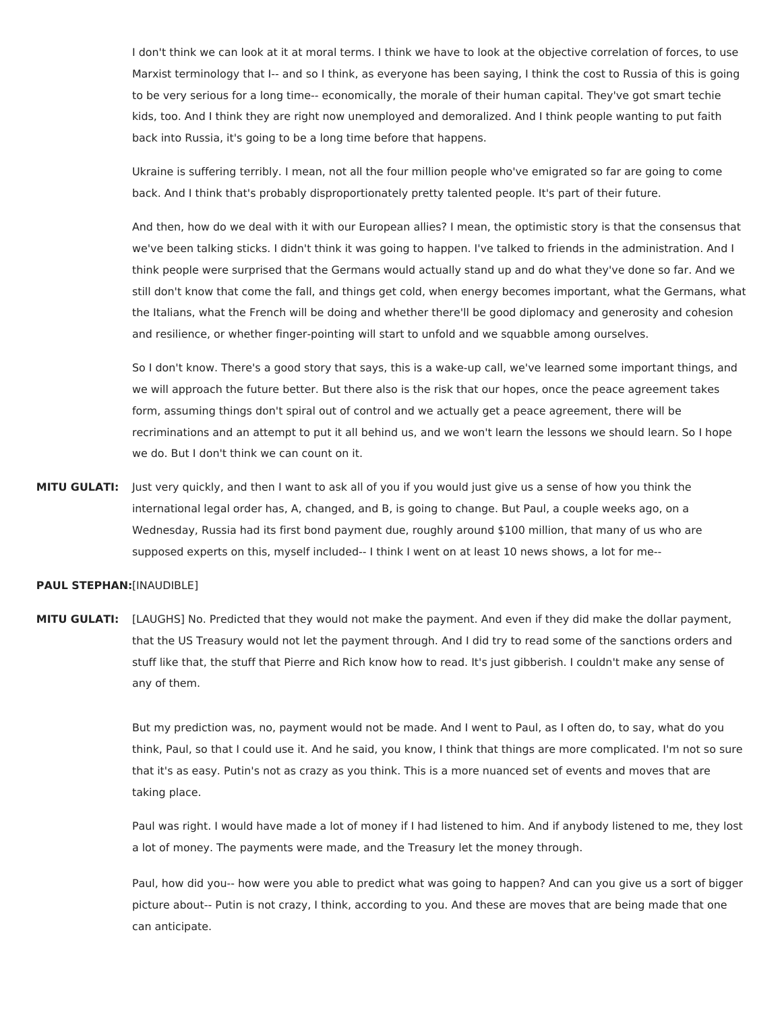I don't think we can look at it at moral terms. I think we have to look at the objective correlation of forces, to use Marxist terminology that I-- and so I think, as everyone has been saying, I think the cost to Russia of this is going to be very serious for a long time-- economically, the morale of their human capital. They've got smart techie kids, too. And I think they are right now unemployed and demoralized. And I think people wanting to put faith back into Russia, it's going to be a long time before that happens.

Ukraine is suffering terribly. I mean, not all the four million people who've emigrated so far are going to come back. And I think that's probably disproportionately pretty talented people. It's part of their future.

And then, how do we deal with it with our European allies? I mean, the optimistic story is that the consensus that we've been talking sticks. I didn't think it was going to happen. I've talked to friends in the administration. And I think people were surprised that the Germans would actually stand up and do what they've done so far. And we still don't know that come the fall, and things get cold, when energy becomes important, what the Germans, what the Italians, what the French will be doing and whether there'll be good diplomacy and generosity and cohesion and resilience, or whether finger-pointing will start to unfold and we squabble among ourselves.

So I don't know. There's a good story that says, this is a wake-up call, we've learned some important things, and we will approach the future better. But there also is the risk that our hopes, once the peace agreement takes form, assuming things don't spiral out of control and we actually get a peace agreement, there will be recriminations and an attempt to put it all behind us, and we won't learn the lessons we should learn. So I hope we do. But I don't think we can count on it.

**MITU GULATI:** Just very quickly, and then I want to ask all of you if you would just give us a sense of how you think the international legal order has, A, changed, and B, is going to change. But Paul, a couple weeks ago, on a Wednesday, Russia had its first bond payment due, roughly around \$100 million, that many of us who are supposed experts on this, myself included-- I think I went on at least 10 news shows, a lot for me--

## **PAUL STEPHAN:**[INAUDIBLE]

**MITU GULATI:** [LAUGHS] No. Predicted that they would not make the payment. And even if they did make the dollar payment, that the US Treasury would not let the payment through. And I did try to read some of the sanctions orders and stuff like that, the stuff that Pierre and Rich know how to read. It's just gibberish. I couldn't make any sense of any of them.

> But my prediction was, no, payment would not be made. And I went to Paul, as I often do, to say, what do you think, Paul, so that I could use it. And he said, you know, I think that things are more complicated. I'm not so sure that it's as easy. Putin's not as crazy as you think. This is a more nuanced set of events and moves that are taking place.

> Paul was right. I would have made a lot of money if I had listened to him. And if anybody listened to me, they lost a lot of money. The payments were made, and the Treasury let the money through.

> Paul, how did you-- how were you able to predict what was going to happen? And can you give us a sort of bigger picture about-- Putin is not crazy, I think, according to you. And these are moves that are being made that one can anticipate.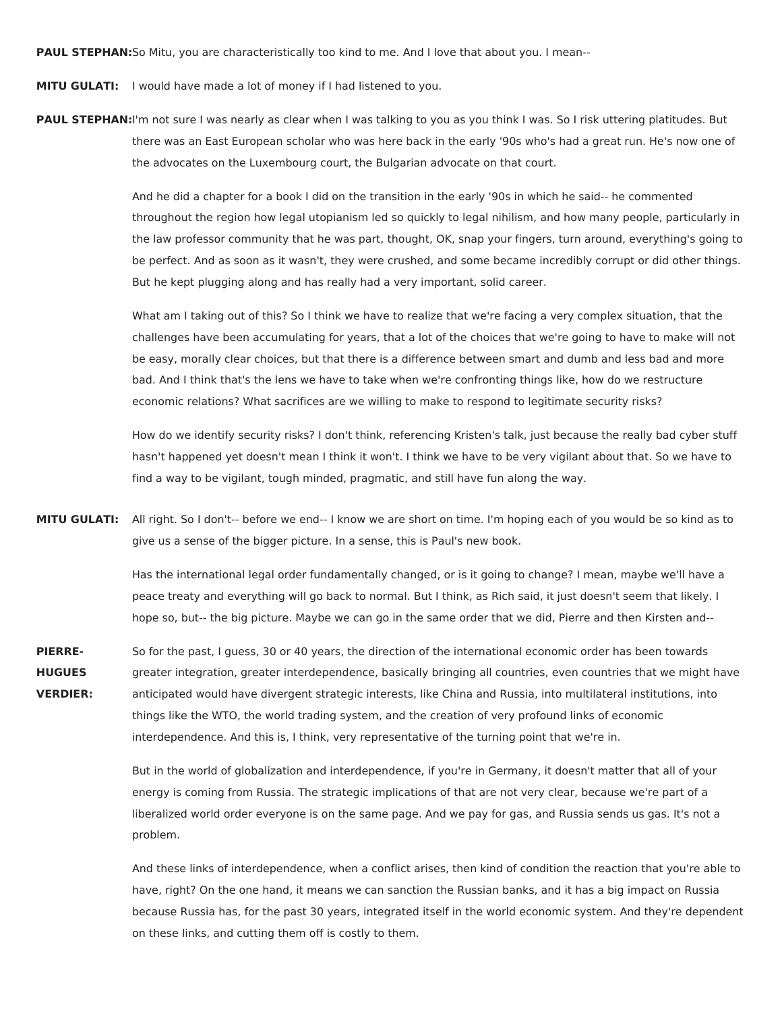**PAUL STEPHAN:**So Mitu, you are characteristically too kind to me. And I love that about you. I mean--

- **MITU GULATI:** I would have made a lot of money if I had listened to you.
- PAUL STEPHAN:I'm not sure I was nearly as clear when I was talking to you as you think I was. So I risk uttering platitudes. But there was an East European scholar who was here back in the early '90s who's had a great run. He's now one of the advocates on the Luxembourg court, the Bulgarian advocate on that court.

And he did a chapter for a book I did on the transition in the early '90s in which he said-- he commented throughout the region how legal utopianism led so quickly to legal nihilism, and how many people, particularly in the law professor community that he was part, thought, OK, snap your fingers, turn around, everything's going to be perfect. And as soon as it wasn't, they were crushed, and some became incredibly corrupt or did other things. But he kept plugging along and has really had a very important, solid career.

What am I taking out of this? So I think we have to realize that we're facing a very complex situation, that the challenges have been accumulating for years, that a lot of the choices that we're going to have to make will not be easy, morally clear choices, but that there is a difference between smart and dumb and less bad and more bad. And I think that's the lens we have to take when we're confronting things like, how do we restructure economic relations? What sacrifices are we willing to make to respond to legitimate security risks?

How do we identify security risks? I don't think, referencing Kristen's talk, just because the really bad cyber stuff hasn't happened yet doesn't mean I think it won't. I think we have to be very vigilant about that. So we have to find a way to be vigilant, tough minded, pragmatic, and still have fun along the way.

**MITU GULATI:** All right. So I don't-- before we end-- I know we are short on time. I'm hoping each of you would be so kind as to give us a sense of the bigger picture. In a sense, this is Paul's new book.

> Has the international legal order fundamentally changed, or is it going to change? I mean, maybe we'll have a peace treaty and everything will go back to normal. But I think, as Rich said, it just doesn't seem that likely. I hope so, but-- the big picture. Maybe we can go in the same order that we did, Pierre and then Kirsten and--

**PIERRE-HUGUES VERDIER:** So for the past, I guess, 30 or 40 years, the direction of the international economic order has been towards greater integration, greater interdependence, basically bringing all countries, even countries that we might have anticipated would have divergent strategic interests, like China and Russia, into multilateral institutions, into things like the WTO, the world trading system, and the creation of very profound links of economic interdependence. And this is, I think, very representative of the turning point that we're in.

> But in the world of globalization and interdependence, if you're in Germany, it doesn't matter that all of your energy is coming from Russia. The strategic implications of that are not very clear, because we're part of a liberalized world order everyone is on the same page. And we pay for gas, and Russia sends us gas. It's not a problem.

And these links of interdependence, when a conflict arises, then kind of condition the reaction that you're able to have, right? On the one hand, it means we can sanction the Russian banks, and it has a big impact on Russia because Russia has, for the past 30 years, integrated itself in the world economic system. And they're dependent on these links, and cutting them off is costly to them.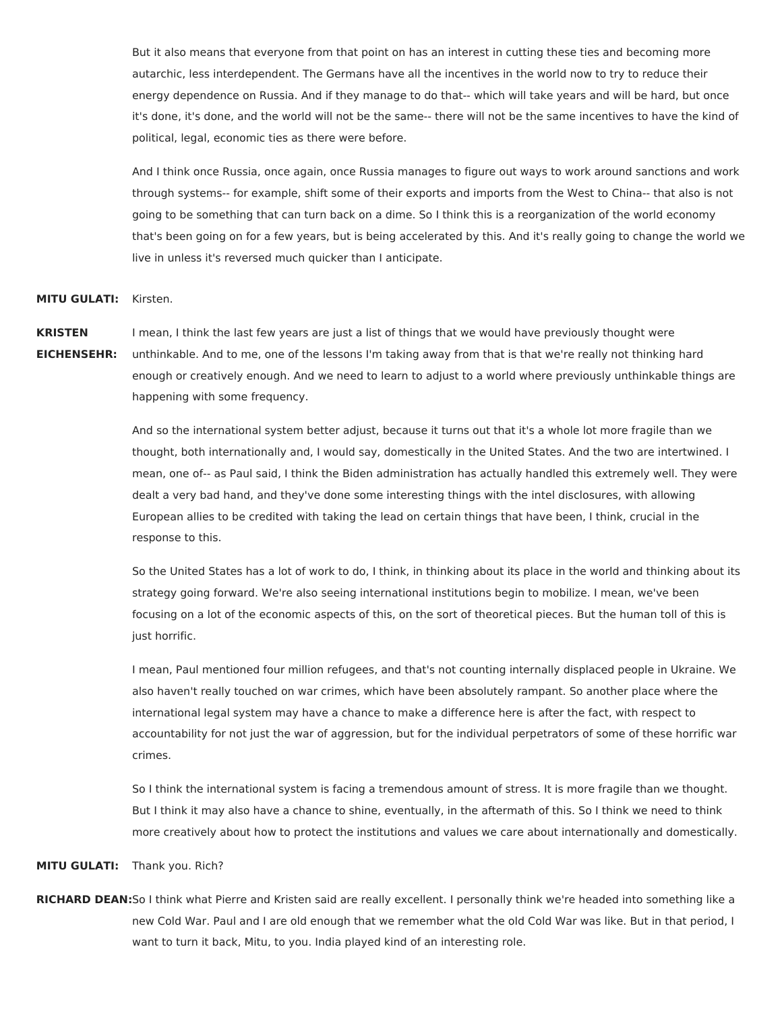But it also means that everyone from that point on has an interest in cutting these ties and becoming more autarchic, less interdependent. The Germans have all the incentives in the world now to try to reduce their energy dependence on Russia. And if they manage to do that-- which will take years and will be hard, but once it's done, it's done, and the world will not be the same-- there will not be the same incentives to have the kind of political, legal, economic ties as there were before.

And I think once Russia, once again, once Russia manages to figure out ways to work around sanctions and work through systems-- for example, shift some of their exports and imports from the West to China-- that also is not going to be something that can turn back on a dime. So I think this is a reorganization of the world economy that's been going on for a few years, but is being accelerated by this. And it's really going to change the world we live in unless it's reversed much quicker than I anticipate.

## **MITU GULATI:** Kirsten.

**KRISTEN EICHENSEHR:** I mean, I think the last few years are just a list of things that we would have previously thought were unthinkable. And to me, one of the lessons I'm taking away from that is that we're really not thinking hard enough or creatively enough. And we need to learn to adjust to a world where previously unthinkable things are happening with some frequency.

> And so the international system better adjust, because it turns out that it's a whole lot more fragile than we thought, both internationally and, I would say, domestically in the United States. And the two are intertwined. I mean, one of-- as Paul said, I think the Biden administration has actually handled this extremely well. They were dealt a very bad hand, and they've done some interesting things with the intel disclosures, with allowing European allies to be credited with taking the lead on certain things that have been, I think, crucial in the response to this.

> So the United States has a lot of work to do, I think, in thinking about its place in the world and thinking about its strategy going forward. We're also seeing international institutions begin to mobilize. I mean, we've been focusing on a lot of the economic aspects of this, on the sort of theoretical pieces. But the human toll of this is just horrific.

> I mean, Paul mentioned four million refugees, and that's not counting internally displaced people in Ukraine. We also haven't really touched on war crimes, which have been absolutely rampant. So another place where the international legal system may have a chance to make a difference here is after the fact, with respect to accountability for not just the war of aggression, but for the individual perpetrators of some of these horrific war crimes.

> So I think the international system is facing a tremendous amount of stress. It is more fragile than we thought. But I think it may also have a chance to shine, eventually, in the aftermath of this. So I think we need to think more creatively about how to protect the institutions and values we care about internationally and domestically.

**MITU GULATI:** Thank you. Rich?

**RICHARD DEAN:**So I think what Pierre and Kristen said are really excellent. I personally think we're headed into something like a new Cold War. Paul and I are old enough that we remember what the old Cold War was like. But in that period, I want to turn it back, Mitu, to you. India played kind of an interesting role.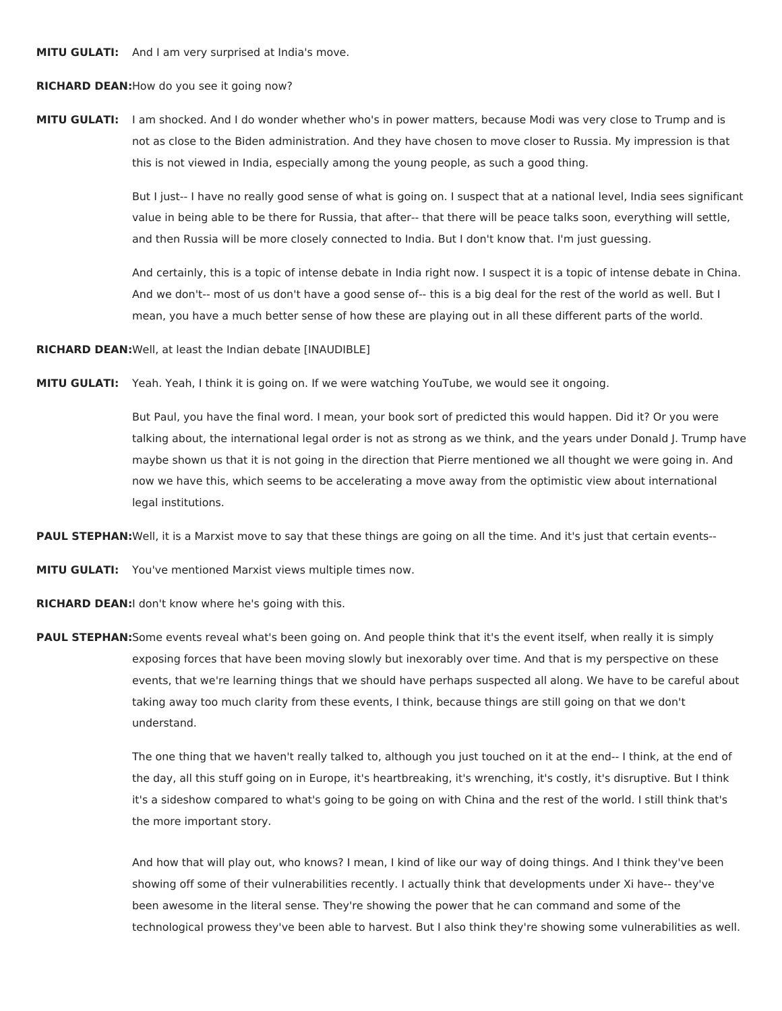**MITU GULATI:** And I am very surprised at India's move.

**RICHARD DEAN:**How do you see it going now?

**MITU GULATI:** I am shocked. And I do wonder whether who's in power matters, because Modi was very close to Trump and is not as close to the Biden administration. And they have chosen to move closer to Russia. My impression is that this is not viewed in India, especially among the young people, as such a good thing.

> But I just-- I have no really good sense of what is going on. I suspect that at a national level, India sees significant value in being able to be there for Russia, that after-- that there will be peace talks soon, everything will settle, and then Russia will be more closely connected to India. But I don't know that. I'm just guessing.

> And certainly, this is a topic of intense debate in India right now. I suspect it is a topic of intense debate in China. And we don't-- most of us don't have a good sense of-- this is a big deal for the rest of the world as well. But I mean, you have a much better sense of how these are playing out in all these different parts of the world.

**RICHARD DEAN:**Well, at least the Indian debate [INAUDIBLE]

**MITU GULATI:** Yeah. Yeah, I think it is going on. If we were watching YouTube, we would see it ongoing.

But Paul, you have the final word. I mean, your book sort of predicted this would happen. Did it? Or you were talking about, the international legal order is not as strong as we think, and the years under Donald J. Trump have maybe shown us that it is not going in the direction that Pierre mentioned we all thought we were going in. And now we have this, which seems to be accelerating a move away from the optimistic view about international legal institutions.

**PAUL STEPHAN:**Well, it is a Marxist move to say that these things are going on all the time. And it's just that certain events--

**MITU GULATI:** You've mentioned Marxist views multiple times now.

**RICHARD DEAN:**I don't know where he's going with this.

**PAUL STEPHAN:**Some events reveal what's been going on. And people think that it's the event itself, when really it is simply exposing forces that have been moving slowly but inexorably over time. And that is my perspective on these events, that we're learning things that we should have perhaps suspected all along. We have to be careful about taking away too much clarity from these events, I think, because things are still going on that we don't understand.

> The one thing that we haven't really talked to, although you just touched on it at the end-- I think, at the end of the day, all this stuff going on in Europe, it's heartbreaking, it's wrenching, it's costly, it's disruptive. But I think it's a sideshow compared to what's going to be going on with China and the rest of the world. I still think that's the more important story.

And how that will play out, who knows? I mean, I kind of like our way of doing things. And I think they've been showing off some of their vulnerabilities recently. I actually think that developments under Xi have-- they've been awesome in the literal sense. They're showing the power that he can command and some of the technological prowess they've been able to harvest. But I also think they're showing some vulnerabilities as well.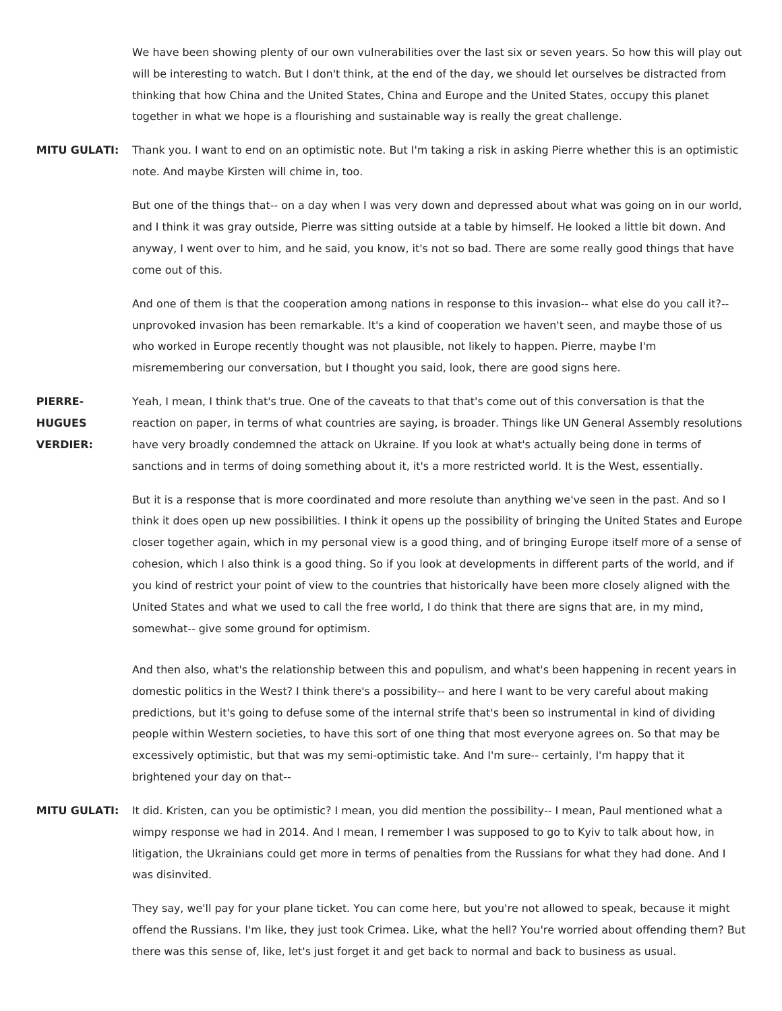We have been showing plenty of our own vulnerabilities over the last six or seven years. So how this will play out will be interesting to watch. But I don't think, at the end of the day, we should let ourselves be distracted from thinking that how China and the United States, China and Europe and the United States, occupy this planet together in what we hope is a flourishing and sustainable way is really the great challenge.

**MITU GULATI:** Thank you. I want to end on an optimistic note. But I'm taking a risk in asking Pierre whether this is an optimistic note. And maybe Kirsten will chime in, too.

> But one of the things that-- on a day when I was very down and depressed about what was going on in our world, and I think it was gray outside, Pierre was sitting outside at a table by himself. He looked a little bit down. And anyway, I went over to him, and he said, you know, it's not so bad. There are some really good things that have come out of this.

And one of them is that the cooperation among nations in response to this invasion-- what else do you call it?- unprovoked invasion has been remarkable. It's a kind of cooperation we haven't seen, and maybe those of us who worked in Europe recently thought was not plausible, not likely to happen. Pierre, maybe I'm misremembering our conversation, but I thought you said, look, there are good signs here.

**PIERRE-HUGUES VERDIER:** Yeah, I mean, I think that's true. One of the caveats to that that's come out of this conversation is that the reaction on paper, in terms of what countries are saying, is broader. Things like UN General Assembly resolutions have very broadly condemned the attack on Ukraine. If you look at what's actually being done in terms of sanctions and in terms of doing something about it, it's a more restricted world. It is the West, essentially.

> But it is a response that is more coordinated and more resolute than anything we've seen in the past. And so I think it does open up new possibilities. I think it opens up the possibility of bringing the United States and Europe closer together again, which in my personal view is a good thing, and of bringing Europe itself more of a sense of cohesion, which I also think is a good thing. So if you look at developments in different parts of the world, and if you kind of restrict your point of view to the countries that historically have been more closely aligned with the United States and what we used to call the free world, I do think that there are signs that are, in my mind, somewhat-- give some ground for optimism.

> And then also, what's the relationship between this and populism, and what's been happening in recent years in domestic politics in the West? I think there's a possibility-- and here I want to be very careful about making predictions, but it's going to defuse some of the internal strife that's been so instrumental in kind of dividing people within Western societies, to have this sort of one thing that most everyone agrees on. So that may be excessively optimistic, but that was my semi-optimistic take. And I'm sure-- certainly, I'm happy that it brightened your day on that--

**MITU GULATI:** It did. Kristen, can you be optimistic? I mean, you did mention the possibility-- I mean, Paul mentioned what a wimpy response we had in 2014. And I mean, I remember I was supposed to go to Kyiv to talk about how, in litigation, the Ukrainians could get more in terms of penalties from the Russians for what they had done. And I was disinvited.

> They say, we'll pay for your plane ticket. You can come here, but you're not allowed to speak, because it might offend the Russians. I'm like, they just took Crimea. Like, what the hell? You're worried about offending them? But there was this sense of, like, let's just forget it and get back to normal and back to business as usual.